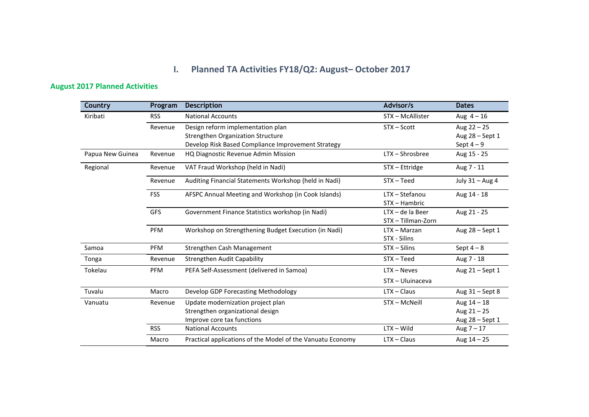## **I. Planned TA Activities FY18/Q2: August– October 2017**

## **August 2017 Planned Activities**

| Country          | Program    | <b>Description</b>                                         | Advisor/s          | <b>Dates</b>      |
|------------------|------------|------------------------------------------------------------|--------------------|-------------------|
| Kiribati         | <b>RSS</b> | <b>National Accounts</b>                                   | STX - McAllister   | Aug $4 - 16$      |
|                  | Revenue    | Design reform implementation plan                          | STX-Scott          | Aug $22 - 25$     |
|                  |            | <b>Strengthen Organization Structure</b>                   |                    | Aug 28 - Sept 1   |
|                  |            | Develop Risk Based Compliance Improvement Strategy         |                    | Sept $4-9$        |
| Papua New Guinea | Revenue    | HQ Diagnostic Revenue Admin Mission                        | $LTX - Shrosbree$  | Aug 15 - 25       |
| Regional         | Revenue    | VAT Fraud Workshop (held in Nadi)                          | STX - Ettridge     | Aug 7 - 11        |
|                  | Revenue    | Auditing Financial Statements Workshop (held in Nadi)      | $STX - Teed$       | July 31 - Aug 4   |
|                  | <b>FSS</b> | AFSPC Annual Meeting and Workshop (in Cook Islands)        | $LTX - Stefanou$   | Aug 14 - 18       |
|                  |            |                                                            | STX - Hambric      |                   |
|                  | GFS        | Government Finance Statistics workshop (in Nadi)           | $LTX - de$ la Beer | Aug 21 - 25       |
|                  |            |                                                            | STX - Tillman-Zorn |                   |
|                  | PFM        | Workshop on Strengthening Budget Execution (in Nadi)       | LTX - Marzan       | Aug 28 - Sept 1   |
|                  |            |                                                            | STX - Silins       |                   |
| Samoa            | <b>PFM</b> | Strengthen Cash Management                                 | $STX - Silins$     | Sept $4-8$        |
| Tonga            | Revenue    | Strengthen Audit Capability                                | $STX - Teed$       | Aug 7 - 18        |
| Tokelau          | <b>PFM</b> | PEFA Self-Assessment (delivered in Samoa)                  | $LTX - Neves$      | Aug 21 - Sept 1   |
|                  |            |                                                            | STX - Uluinaceva   |                   |
| Tuvalu           | Macro      | Develop GDP Forecasting Methodology                        | $LTX - Claus$      | Aug $31 -$ Sept 8 |
| Vanuatu          | Revenue    | Update modernization project plan                          | STX - McNeill      | Aug $14 - 18$     |
|                  |            | Strengthen organizational design                           |                    | Aug $21 - 25$     |
|                  |            | Improve core tax functions                                 |                    | Aug 28 - Sept 1   |
|                  | <b>RSS</b> | <b>National Accounts</b>                                   | $LTX - Wild$       | Aug $7 - 17$      |
|                  | Macro      | Practical applications of the Model of the Vanuatu Economy | $LTX - Claus$      | Aug $14 - 25$     |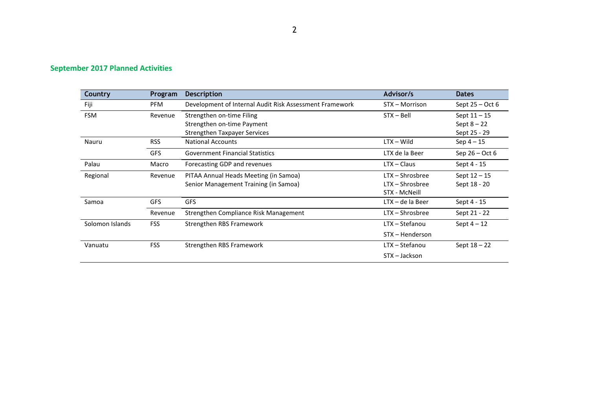## **September 2017 Planned Activities**

| <b>Country</b>  | Program    | <b>Description</b>                                      | Advisor/s          | <b>Dates</b>      |
|-----------------|------------|---------------------------------------------------------|--------------------|-------------------|
| Fiji            | <b>PFM</b> | Development of Internal Audit Risk Assessment Framework | STX - Morrison     | Sept $25 - Oct 6$ |
| <b>FSM</b>      | Revenue    | Strengthen on-time Filing                               | $STX - Bell$       | Sept $11 - 15$    |
|                 |            | Strengthen on-time Payment                              |                    | Sept $8 - 22$     |
|                 |            | <b>Strengthen Taxpayer Services</b>                     |                    | Sept 25 - 29      |
| Nauru           | <b>RSS</b> | <b>National Accounts</b>                                | $LTX - Wild$       | $Sep 4 - 15$      |
|                 | <b>GFS</b> | <b>Government Financial Statistics</b>                  | LTX de la Beer     | Sep $26 - Oct 6$  |
| Palau           | Macro      | Forecasting GDP and revenues                            | $LTX - Class$      | Sept 4 - 15       |
| Regional        | Revenue    | PITAA Annual Heads Meeting (in Samoa)                   | $LTX - Shrosbree$  | Sept $12 - 15$    |
|                 |            | Senior Management Training (in Samoa)                   | $LTX - Shrosbree$  | Sept 18 - 20      |
|                 |            |                                                         | STX - McNeill      |                   |
| Samoa           | <b>GFS</b> | <b>GFS</b>                                              | $LTX - de$ la Beer | Sept 4 - 15       |
|                 | Revenue    | Strengthen Compliance Risk Management                   | LTX - Shrosbree    | Sept 21 - 22      |
| Solomon Islands | <b>FSS</b> | Strengthen RBS Framework                                | LTX - Stefanou     | Sept $4-12$       |
|                 |            |                                                         | STX – Henderson    |                   |
| Vanuatu         | <b>FSS</b> | Strengthen RBS Framework                                | LTX – Stefanou     | Sept $18 - 22$    |
|                 |            |                                                         | STX - Jackson      |                   |